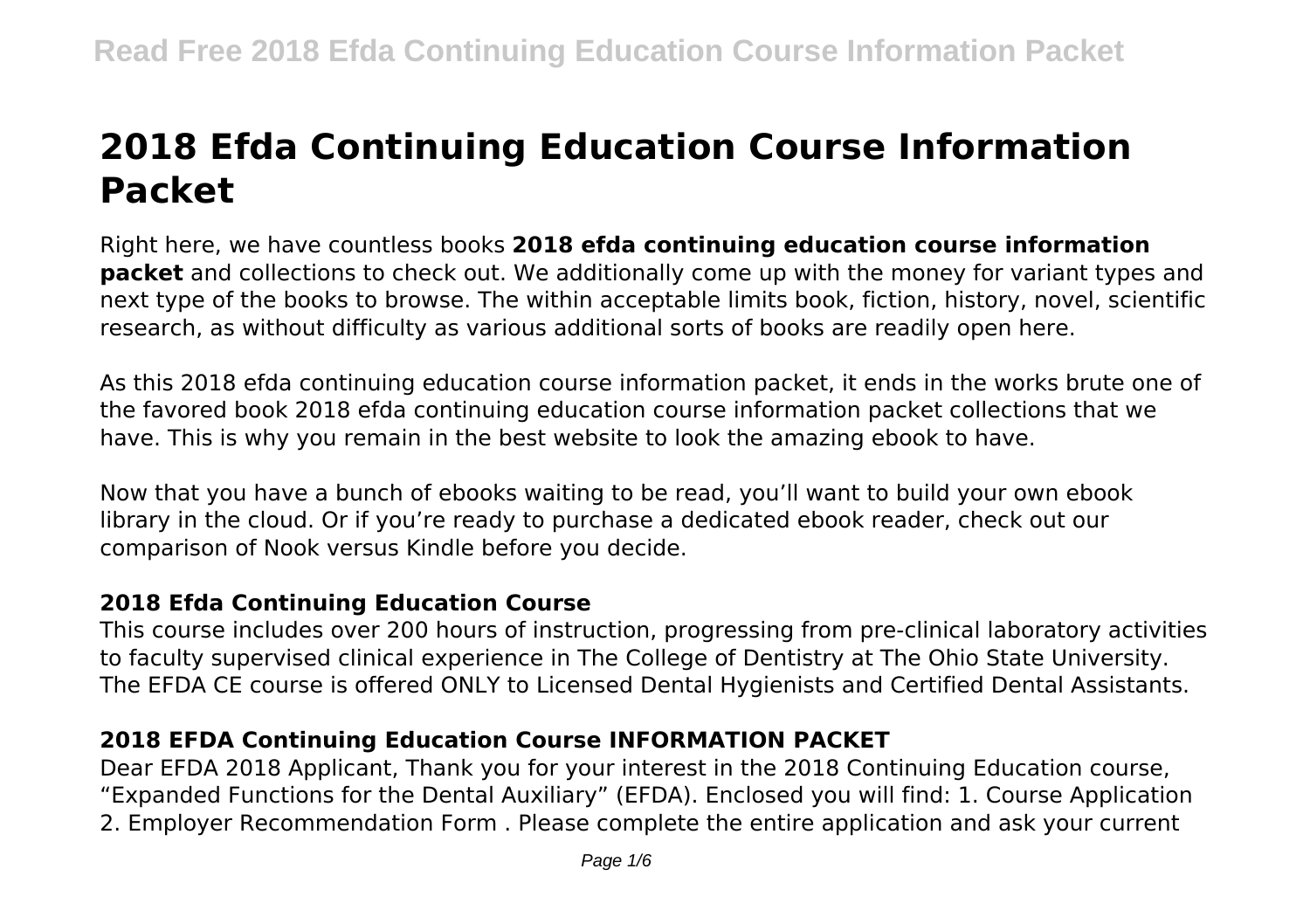# **2018 Efda Continuing Education Course Information Packet**

Right here, we have countless books **2018 efda continuing education course information packet** and collections to check out. We additionally come up with the money for variant types and next type of the books to browse. The within acceptable limits book, fiction, history, novel, scientific research, as without difficulty as various additional sorts of books are readily open here.

As this 2018 efda continuing education course information packet, it ends in the works brute one of the favored book 2018 efda continuing education course information packet collections that we have. This is why you remain in the best website to look the amazing ebook to have.

Now that you have a bunch of ebooks waiting to be read, you'll want to build your own ebook library in the cloud. Or if you're ready to purchase a dedicated ebook reader, check out our comparison of Nook versus Kindle before you decide.

# **2018 Efda Continuing Education Course**

This course includes over 200 hours of instruction, progressing from pre-clinical laboratory activities to faculty supervised clinical experience in The College of Dentistry at The Ohio State University. The EFDA CE course is offered ONLY to Licensed Dental Hygienists and Certified Dental Assistants.

# **2018 EFDA Continuing Education Course INFORMATION PACKET**

Dear EFDA 2018 Applicant, Thank you for your interest in the 2018 Continuing Education course, "Expanded Functions for the Dental Auxiliary" (EFDA). Enclosed you will find: 1. Course Application 2. Employer Recommendation Form . Please complete the entire application and ask your current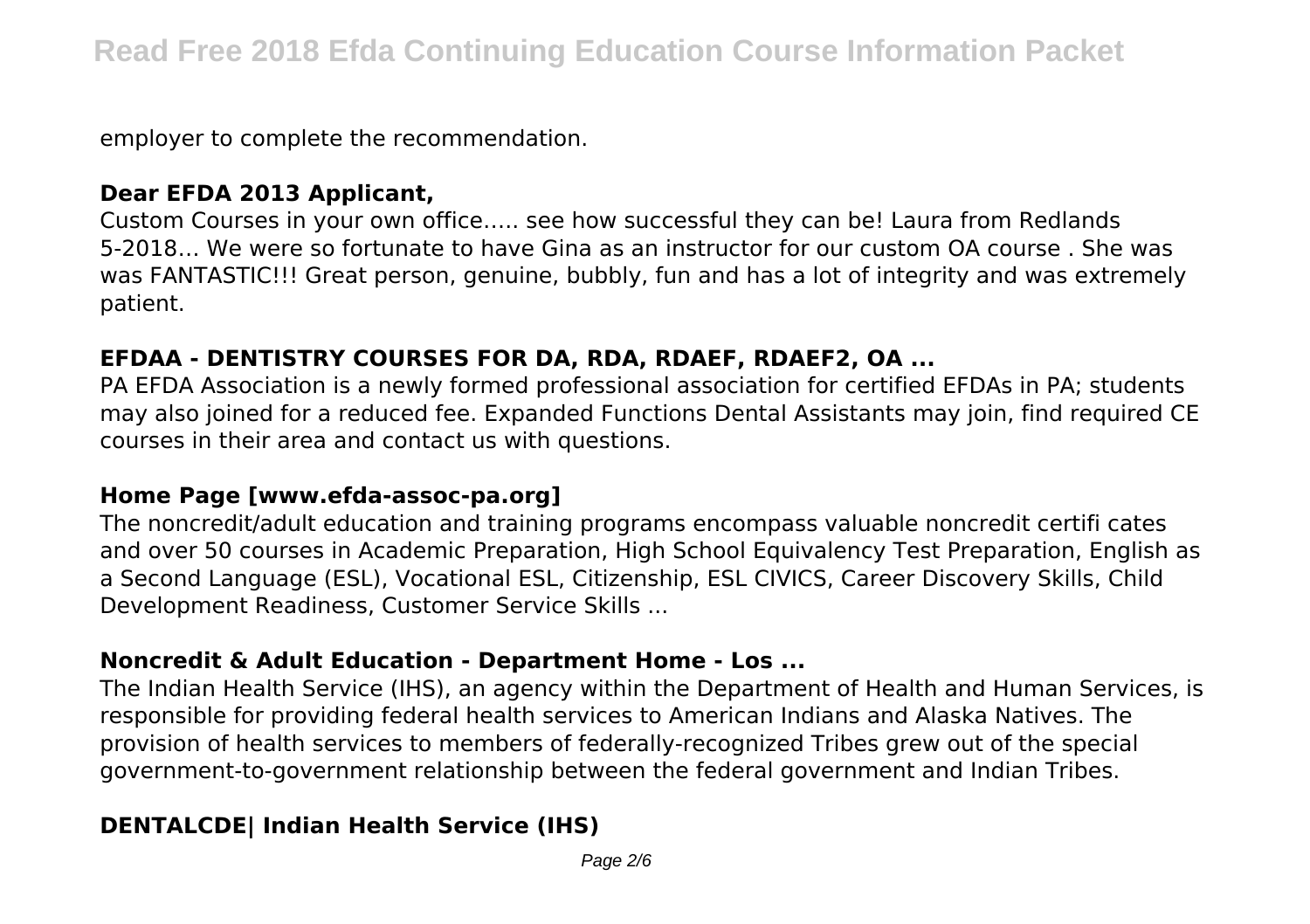employer to complete the recommendation.

# **Dear EFDA 2013 Applicant,**

Custom Courses in your own office….. see how successful they can be! Laura from Redlands 5-2018… We were so fortunate to have Gina as an instructor for our custom OA course . She was was FANTASTIC!!! Great person, genuine, bubbly, fun and has a lot of integrity and was extremely patient.

## **EFDAA - DENTISTRY COURSES FOR DA, RDA, RDAEF, RDAEF2, OA ...**

PA EFDA Association is a newly formed professional association for certified EFDAs in PA; students may also joined for a reduced fee. Expanded Functions Dental Assistants may join, find required CE courses in their area and contact us with questions.

## **Home Page [www.efda-assoc-pa.org]**

The noncredit/adult education and training programs encompass valuable noncredit certifi cates and over 50 courses in Academic Preparation, High School Equivalency Test Preparation, English as a Second Language (ESL), Vocational ESL, Citizenship, ESL CIVICS, Career Discovery Skills, Child Development Readiness, Customer Service Skills ...

## **Noncredit & Adult Education - Department Home - Los ...**

The Indian Health Service (IHS), an agency within the Department of Health and Human Services, is responsible for providing federal health services to American Indians and Alaska Natives. The provision of health services to members of federally-recognized Tribes grew out of the special government-to-government relationship between the federal government and Indian Tribes.

# **DENTALCDE| Indian Health Service (IHS)**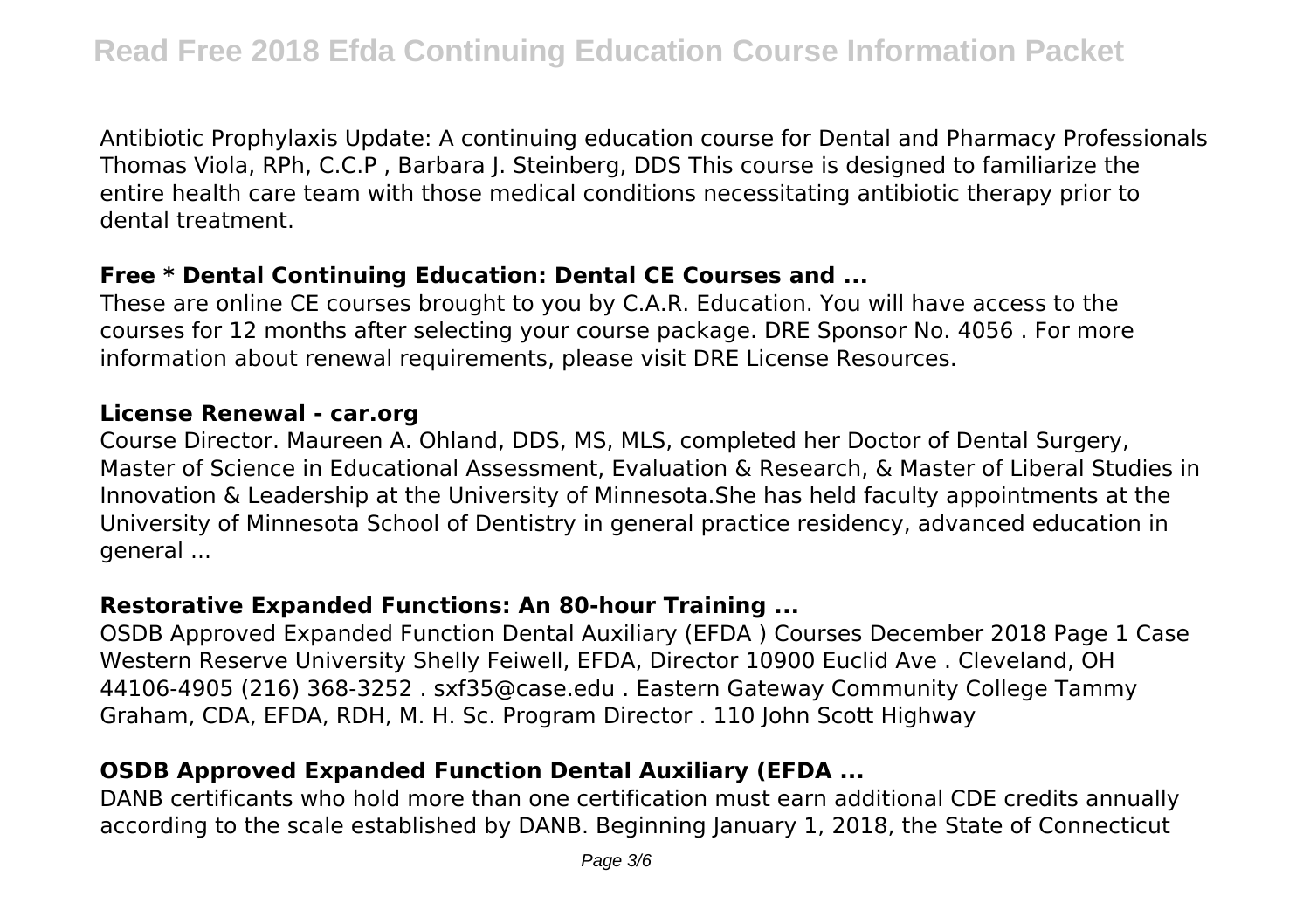Antibiotic Prophylaxis Update: A continuing education course for Dental and Pharmacy Professionals Thomas Viola, RPh, C.C.P , Barbara J. Steinberg, DDS This course is designed to familiarize the entire health care team with those medical conditions necessitating antibiotic therapy prior to dental treatment.

## **Free \* Dental Continuing Education: Dental CE Courses and ...**

These are online CE courses brought to you by C.A.R. Education. You will have access to the courses for 12 months after selecting your course package. DRE Sponsor No. 4056 . For more information about renewal requirements, please visit DRE License Resources.

#### **License Renewal - car.org**

Course Director. Maureen A. Ohland, DDS, MS, MLS, completed her Doctor of Dental Surgery, Master of Science in Educational Assessment, Evaluation & Research, & Master of Liberal Studies in Innovation & Leadership at the University of Minnesota.She has held faculty appointments at the University of Minnesota School of Dentistry in general practice residency, advanced education in general ...

# **Restorative Expanded Functions: An 80-hour Training ...**

OSDB Approved Expanded Function Dental Auxiliary (EFDA ) Courses December 2018 Page 1 Case Western Reserve University Shelly Feiwell, EFDA, Director 10900 Euclid Ave . Cleveland, OH 44106‐4905 (216) 368‐3252 . sxf35@case.edu . Eastern Gateway Community College Tammy Graham, CDA, EFDA, RDH, M. H. Sc. Program Director . 110 John Scott Highway

# **OSDB Approved Expanded Function Dental Auxiliary (EFDA ...**

DANB certificants who hold more than one certification must earn additional CDE credits annually according to the scale established by DANB. Beginning January 1, 2018, the State of Connecticut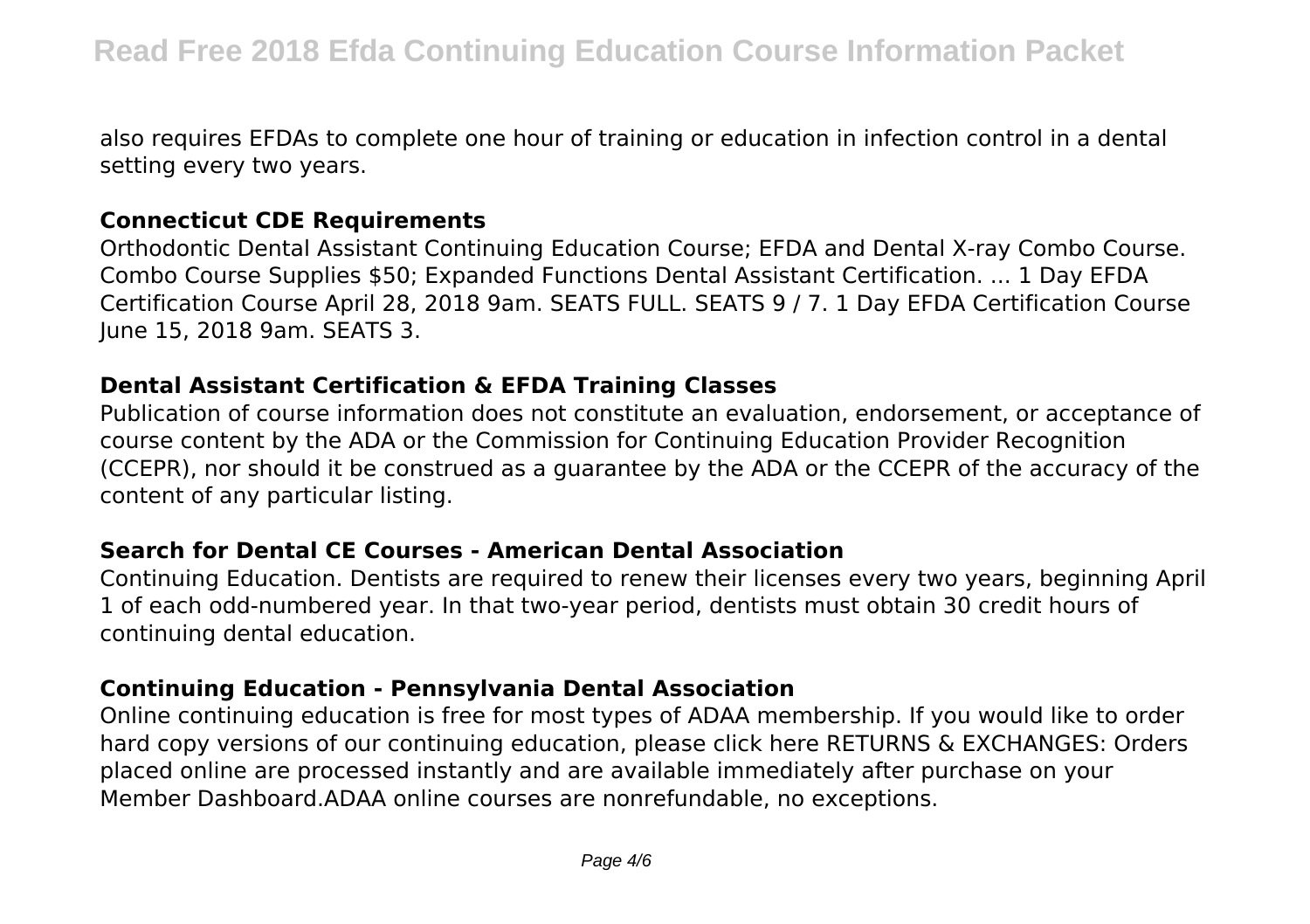also requires EFDAs to complete one hour of training or education in infection control in a dental setting every two years.

#### **Connecticut CDE Requirements**

Orthodontic Dental Assistant Continuing Education Course; EFDA and Dental X-ray Combo Course. Combo Course Supplies \$50; Expanded Functions Dental Assistant Certification. ... 1 Day EFDA Certification Course April 28, 2018 9am. SEATS FULL. SEATS 9 / 7. 1 Day EFDA Certification Course June 15, 2018 9am. SEATS 3.

#### **Dental Assistant Certification & EFDA Training Classes**

Publication of course information does not constitute an evaluation, endorsement, or acceptance of course content by the ADA or the Commission for Continuing Education Provider Recognition (CCEPR), nor should it be construed as a guarantee by the ADA or the CCEPR of the accuracy of the content of any particular listing.

## **Search for Dental CE Courses - American Dental Association**

Continuing Education. Dentists are required to renew their licenses every two years, beginning April 1 of each odd-numbered year. In that two-year period, dentists must obtain 30 credit hours of continuing dental education.

## **Continuing Education - Pennsylvania Dental Association**

Online continuing education is free for most types of ADAA membership. If you would like to order hard copy versions of our continuing education, please click here RETURNS & EXCHANGES: Orders placed online are processed instantly and are available immediately after purchase on your Member Dashboard.ADAA online courses are nonrefundable, no exceptions.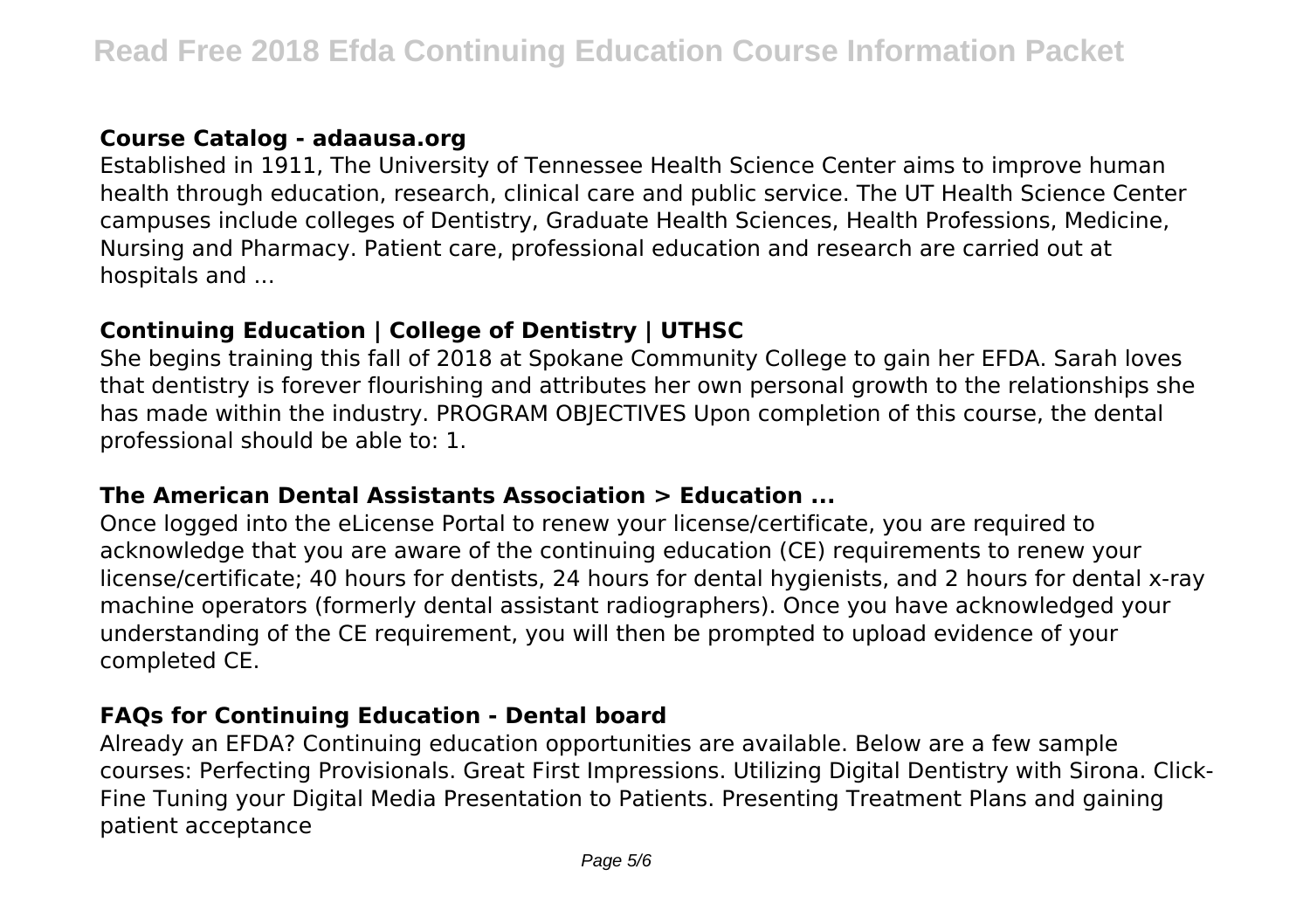# **Course Catalog - adaausa.org**

Established in 1911, The University of Tennessee Health Science Center aims to improve human health through education, research, clinical care and public service. The UT Health Science Center campuses include colleges of Dentistry, Graduate Health Sciences, Health Professions, Medicine, Nursing and Pharmacy. Patient care, professional education and research are carried out at hospitals and ...

# **Continuing Education | College of Dentistry | UTHSC**

She begins training this fall of 2018 at Spokane Community College to gain her EFDA. Sarah loves that dentistry is forever flourishing and attributes her own personal growth to the relationships she has made within the industry. PROGRAM OBIECTIVES Upon completion of this course, the dental professional should be able to: 1.

## **The American Dental Assistants Association > Education ...**

Once logged into the eLicense Portal to renew your license/certificate, you are required to acknowledge that you are aware of the continuing education (CE) requirements to renew your license/certificate; 40 hours for dentists, 24 hours for dental hygienists, and 2 hours for dental x-ray machine operators (formerly dental assistant radiographers). Once you have acknowledged your understanding of the CE requirement, you will then be prompted to upload evidence of your completed CE.

# **FAQs for Continuing Education - Dental board**

Already an EFDA? Continuing education opportunities are available. Below are a few sample courses: Perfecting Provisionals. Great First Impressions. Utilizing Digital Dentistry with Sirona. Click-Fine Tuning your Digital Media Presentation to Patients. Presenting Treatment Plans and gaining patient acceptance